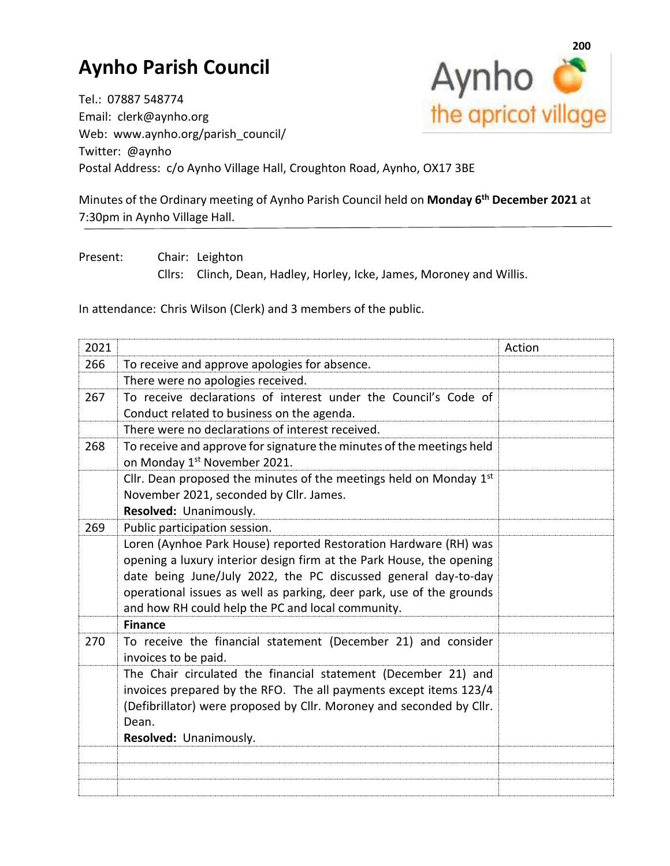## **Aynho Parish Council**

**200** Aynho<sup>c</sup> the apricot village

Tel.: 07887 548774 Email: clerk@aynho.org Web: www.aynho.org/parish\_council/ Twitter: @aynho Postal Address: c/o Aynho Village Hall, Croughton Road, Aynho, OX17 3BE

Minutes of the Ordinary meeting of Aynho Parish Council held on **Monday 6 th December 2021** at 7:30pm in Aynho Village Hall.

Present: Chair: Leighton Cllrs: Clinch, Dean, Hadley, Horley, Icke, James, Moroney and Willis.

In attendance: Chris Wilson (Clerk) and 3 members of the public.

| 2021 |                                                                                                                                                                                                                                                                                                                                                           | Action |
|------|-----------------------------------------------------------------------------------------------------------------------------------------------------------------------------------------------------------------------------------------------------------------------------------------------------------------------------------------------------------|--------|
| 266  | To receive and approve apologies for absence.                                                                                                                                                                                                                                                                                                             |        |
|      | There were no apologies received.                                                                                                                                                                                                                                                                                                                         |        |
| 267  | To receive declarations of interest under the Council's Code of<br>Conduct related to business on the agenda.                                                                                                                                                                                                                                             |        |
|      | There were no declarations of interest received.                                                                                                                                                                                                                                                                                                          |        |
| 268  | To receive and approve for signature the minutes of the meetings held<br>on Monday 1 <sup>st</sup> November 2021.                                                                                                                                                                                                                                         |        |
|      | Cllr. Dean proposed the minutes of the meetings held on Monday 1st<br>November 2021, seconded by Cllr. James.<br>Resolved: Unanimously.                                                                                                                                                                                                                   |        |
| 269  | Public participation session.                                                                                                                                                                                                                                                                                                                             |        |
|      | Loren (Aynhoe Park House) reported Restoration Hardware (RH) was<br>opening a luxury interior design firm at the Park House, the opening<br>date being June/July 2022, the PC discussed general day-to-day<br>operational issues as well as parking, deer park, use of the grounds<br>and how RH could help the PC and local community.<br><b>Finance</b> |        |
| 270  | To receive the financial statement (December 21) and consider<br>invoices to be paid.                                                                                                                                                                                                                                                                     |        |
|      | The Chair circulated the financial statement (December 21) and<br>invoices prepared by the RFO. The all payments except items 123/4<br>(Defibrillator) were proposed by Cllr. Moroney and seconded by Cllr.<br>Dean.<br>Resolved: Unanimously.                                                                                                            |        |
|      |                                                                                                                                                                                                                                                                                                                                                           |        |
|      |                                                                                                                                                                                                                                                                                                                                                           |        |
|      |                                                                                                                                                                                                                                                                                                                                                           |        |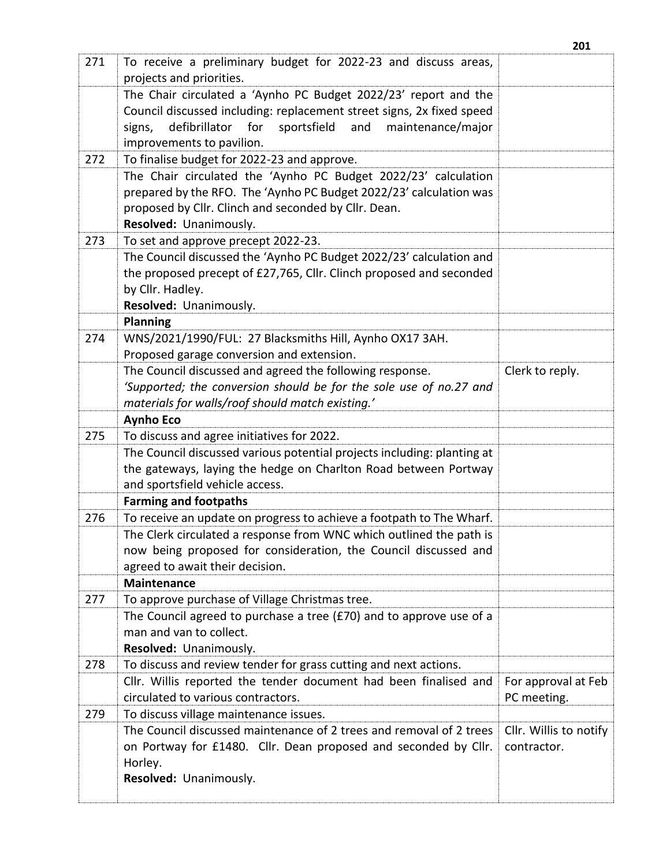| 271 | To receive a preliminary budget for 2022-23 and discuss areas,            |                        |
|-----|---------------------------------------------------------------------------|------------------------|
|     | projects and priorities.                                                  |                        |
|     | The Chair circulated a 'Aynho PC Budget 2022/23' report and the           |                        |
|     | Council discussed including: replacement street signs, 2x fixed speed     |                        |
|     | defibrillator<br>for<br>sportsfield<br>and<br>maintenance/major<br>signs, |                        |
|     | improvements to pavilion.                                                 |                        |
| 272 | To finalise budget for 2022-23 and approve.                               |                        |
|     | The Chair circulated the 'Aynho PC Budget 2022/23' calculation            |                        |
|     | prepared by the RFO. The 'Aynho PC Budget 2022/23' calculation was        |                        |
|     | proposed by Cllr. Clinch and seconded by Cllr. Dean.                      |                        |
|     | Resolved: Unanimously.                                                    |                        |
| 273 | To set and approve precept 2022-23.                                       |                        |
|     | The Council discussed the 'Aynho PC Budget 2022/23' calculation and       |                        |
|     | the proposed precept of £27,765, Cllr. Clinch proposed and seconded       |                        |
|     | by Cllr. Hadley.                                                          |                        |
|     | Resolved: Unanimously.                                                    |                        |
|     | <b>Planning</b>                                                           |                        |
| 274 | WNS/2021/1990/FUL: 27 Blacksmiths Hill, Aynho OX17 3AH.                   |                        |
|     | Proposed garage conversion and extension.                                 |                        |
|     | The Council discussed and agreed the following response.                  | Clerk to reply.        |
|     | 'Supported; the conversion should be for the sole use of no.27 and        |                        |
|     | materials for walls/roof should match existing.'                          |                        |
|     | <b>Aynho Eco</b>                                                          |                        |
| 275 | To discuss and agree initiatives for 2022.                                |                        |
|     | The Council discussed various potential projects including: planting at   |                        |
|     | the gateways, laying the hedge on Charlton Road between Portway           |                        |
|     | and sportsfield vehicle access.                                           |                        |
|     | <b>Farming and footpaths</b>                                              |                        |
| 276 | To receive an update on progress to achieve a footpath to The Wharf.      |                        |
|     | The Clerk circulated a response from WNC which outlined the path is       |                        |
|     | now being proposed for consideration, the Council discussed and           |                        |
|     | agreed to await their decision.                                           |                        |
|     | <b>Maintenance</b>                                                        |                        |
| 277 | To approve purchase of Village Christmas tree.                            |                        |
|     | The Council agreed to purchase a tree (£70) and to approve use of a       |                        |
|     | man and van to collect.                                                   |                        |
|     | Resolved: Unanimously.                                                    |                        |
| 278 | To discuss and review tender for grass cutting and next actions.          |                        |
|     | Cllr. Willis reported the tender document had been finalised and          | For approval at Feb    |
|     | circulated to various contractors.                                        | PC meeting.            |
| 279 | To discuss village maintenance issues.                                    |                        |
|     | The Council discussed maintenance of 2 trees and removal of 2 trees       | Cllr. Willis to notify |
|     | on Portway for £1480. Cllr. Dean proposed and seconded by Cllr.           | contractor.            |
|     | Horley.                                                                   |                        |
|     | Resolved: Unanimously.                                                    |                        |
|     |                                                                           |                        |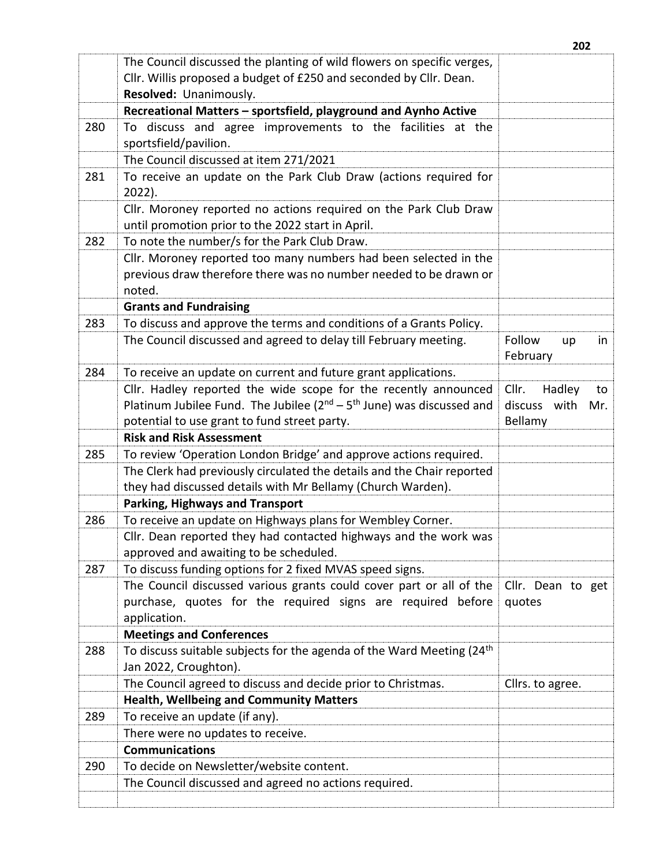|     | The Council discussed the planting of wild flowers on specific verges,                                                |                                |
|-----|-----------------------------------------------------------------------------------------------------------------------|--------------------------------|
|     | Cllr. Willis proposed a budget of £250 and seconded by Cllr. Dean.                                                    |                                |
|     | Resolved: Unanimously.                                                                                                |                                |
|     | Recreational Matters - sportsfield, playground and Aynho Active                                                       |                                |
| 280 | To discuss and agree improvements to the facilities at the                                                            |                                |
|     | sportsfield/pavilion.                                                                                                 |                                |
|     | The Council discussed at item 271/2021                                                                                |                                |
| 281 | To receive an update on the Park Club Draw (actions required for<br>$2022$ ).                                         |                                |
|     | Cllr. Moroney reported no actions required on the Park Club Draw<br>until promotion prior to the 2022 start in April. |                                |
| 282 | To note the number/s for the Park Club Draw.                                                                          |                                |
|     | Cllr. Moroney reported too many numbers had been selected in the                                                      |                                |
|     | previous draw therefore there was no number needed to be drawn or<br>noted.                                           |                                |
|     | <b>Grants and Fundraising</b>                                                                                         |                                |
| 283 | To discuss and approve the terms and conditions of a Grants Policy.                                                   |                                |
|     | The Council discussed and agreed to delay till February meeting.                                                      | Follow<br>in<br>up<br>February |
| 284 | To receive an update on current and future grant applications.                                                        |                                |
|     | Cllr. Hadley reported the wide scope for the recently announced                                                       | Cllr.<br>Hadley<br>to          |
|     | Platinum Jubilee Fund. The Jubilee $(2^{nd} - 5^{th})$ June) was discussed and                                        | discuss with<br>Mr.            |
|     | potential to use grant to fund street party.                                                                          | Bellamy                        |
|     | <b>Risk and Risk Assessment</b>                                                                                       |                                |
| 285 | To review 'Operation London Bridge' and approve actions required.                                                     |                                |
|     | The Clerk had previously circulated the details and the Chair reported                                                |                                |
|     | they had discussed details with Mr Bellamy (Church Warden).                                                           |                                |
|     | <b>Parking, Highways and Transport</b>                                                                                |                                |
| 286 | To receive an update on Highways plans for Wembley Corner.                                                            |                                |
|     | Cllr. Dean reported they had contacted highways and the work was                                                      |                                |
|     | approved and awaiting to be scheduled.                                                                                |                                |
| 287 | To discuss funding options for 2 fixed MVAS speed signs.                                                              |                                |
|     | The Council discussed various grants could cover part or all of the                                                   | Cllr. Dean to get              |
|     | purchase, quotes for the required signs are required before<br>application.                                           | quotes                         |
|     | <b>Meetings and Conferences</b>                                                                                       |                                |
| 288 | To discuss suitable subjects for the agenda of the Ward Meeting (24 <sup>th</sup> )<br>Jan 2022, Croughton).          |                                |
|     | The Council agreed to discuss and decide prior to Christmas.                                                          | Cllrs. to agree.               |
|     | <b>Health, Wellbeing and Community Matters</b>                                                                        |                                |
| 289 | To receive an update (if any).                                                                                        |                                |
|     | There were no updates to receive.                                                                                     |                                |
|     | <b>Communications</b>                                                                                                 |                                |
| 290 | To decide on Newsletter/website content.                                                                              |                                |
|     | The Council discussed and agreed no actions required.                                                                 |                                |
|     |                                                                                                                       |                                |